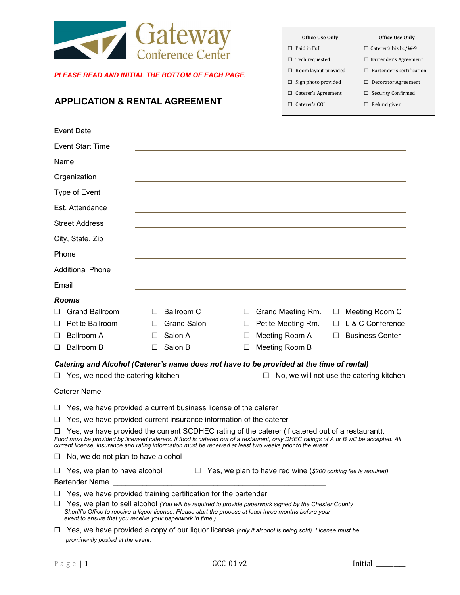

#### *PLEASE READ AND INITIAL THE BOTTOM OF EACH PAGE.*

# **APPLICATION & RENTAL AGREEMENT**

| Office Use Only             | Office Use Only              |
|-----------------------------|------------------------------|
| $\Box$ Paid in Full         | $\Box$ Caterer's biz lic/W-9 |
| $\Box$ Tech requested       | $\Box$ Bartender's Agreement |
| $\Box$ Room layout provided | Bartender's certification    |
| $\Box$ Sign photo provided  | $\Box$ Decorator Agreement   |
| $\Box$ Caterer's Agreement  | $\Box$ Security Confirmed    |
| $\Box$ Caterer's COI        | Refund given                 |
|                             |                              |

|        | <b>Event Date</b>                 |              |                    |   |                                                                                          |        |                                          |
|--------|-----------------------------------|--------------|--------------------|---|------------------------------------------------------------------------------------------|--------|------------------------------------------|
|        | <b>Event Start Time</b>           |              |                    |   |                                                                                          |        |                                          |
| Name   |                                   |              |                    |   |                                                                                          |        |                                          |
|        | Organization                      |              |                    |   |                                                                                          |        |                                          |
|        | Type of Event                     |              |                    |   |                                                                                          |        |                                          |
|        | Est. Attendance                   |              |                    |   |                                                                                          |        |                                          |
|        | <b>Street Address</b>             |              |                    |   |                                                                                          |        |                                          |
|        | City, State, Zip                  |              |                    |   |                                                                                          |        |                                          |
|        | Phone                             |              |                    |   |                                                                                          |        |                                          |
|        | <b>Additional Phone</b>           |              |                    |   |                                                                                          |        |                                          |
| Email  |                                   |              |                    |   |                                                                                          |        |                                          |
|        | <b>Rooms</b>                      |              |                    |   |                                                                                          |        |                                          |
| П      | <b>Grand Ballroom</b>             | П            | <b>Ballroom C</b>  | □ | Grand Meeting Rm.                                                                        | $\Box$ | Meeting Room C                           |
| □      | Petite Ballroom                   |              | <b>Grand Salon</b> | □ | Petite Meeting Rm.                                                                       | $\Box$ | L & C Conference                         |
| ப      | <b>Ballroom A</b>                 | $\mathsf{L}$ | Salon A            | □ | Meeting Room A                                                                           | $\Box$ | <b>Business Center</b>                   |
| □      | <b>Ballroom B</b>                 | $\perp$      | Salon B            | □ | Meeting Room B                                                                           |        |                                          |
|        |                                   |              |                    |   | Catering and Alcohol (Caterer's name does not have to be provided at the time of rental) |        |                                          |
| $\Box$ | Yes, we need the catering kitchen |              |                    |   | $\Box$                                                                                   |        | No, we will not use the catering kitchen |
|        | <b>Caterer Name</b>               |              |                    |   |                                                                                          |        |                                          |

☐ Yes, we have provided a current business license of the caterer

 $\Box$  Yes, we have provided current insurance information of the caterer

☐ Yes, we have provided the current SCDHEC rating of the caterer (if catered out of a restaurant). *Food must be provided by licensed caterers. If food is catered out of a restaurant, only DHEC ratings of A or B will be accepted. All current license, insurance and rating information must be received at least two weeks prior to the event.*

 $\Box$  No, we do not plan to have alcohol

| $\Box$ Yes, we plan to have alcohol | $\Box$ Yes, we plan to have red wine (\$200 corking fee is required). |
|-------------------------------------|-----------------------------------------------------------------------|
|-------------------------------------|-----------------------------------------------------------------------|

Bartender Name

 $\Box$  Yes, we have provided training certification for the bartender

☐ Yes, we plan to sell alcohol *(You will be required to provide paperwork signed by the Chester County Sheriff's Office to receive a liquor license. Please start the process at least three months before your event to ensure that you receive your paperwork in time.)*

☐ Yes, we have provided a copy of our liquor license *(only if alcohol is being sold). License must be prominently posted at the event.*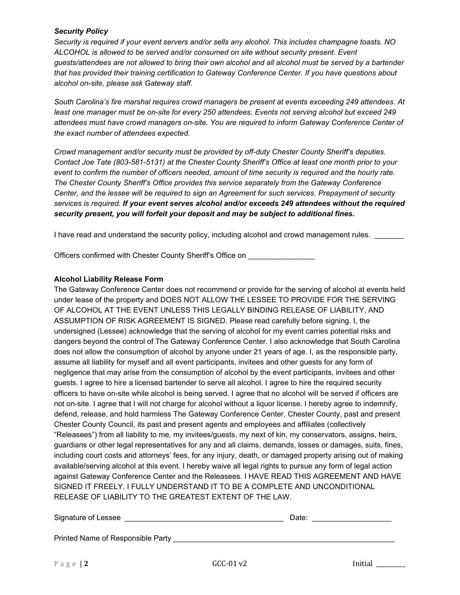## *Security Policy*

*Security is required if your event servers and/or sells any alcohol. This includes champagne toasts. NO ALCOHOL is allowed to be served and/or consumed on site without security present. Event guests/attendees are not allowed to bring their own alcohol and all alcohol must be served by a bartender that has provided their training certification to Gateway Conference Center. If you have questions about alcohol on-site, please ask Gateway staff.*

*South Carolina's fire marshal requires crowd managers be present at events exceeding 249 attendees. At least one manager must be on-site for every 250 attendees. Events not serving alcohol but exceed 249 attendees must have crowd managers on-site. You are required to inform Gateway Conference Center of the exact number of attendees expected.*

*Crowd management and/or security must be provided by off-duty Chester County Sheriff's deputies. Contact Joe Tate (803-581-5131) at the Chester County Sheriff's Office at least one month prior to your event to confirm the number of officers needed, amount of time security is required and the hourly rate. The Chester County Sheriff's Office provides this service separately from the Gateway Conference Center, and the lessee will be required to sign an Agreement for such services. Prepayment of security services is required. If your event serves alcohol and/or exceeds 249 attendees without the required security present, you will forfeit your deposit and may be subject to additional fines.* Ī

I have read and understand the security policy, including alcohol and crowd management rules.

Officers confirmed with Chester County Sheriff's Office on **with the control of the County Sheriff's** Office on

## **Alcohol Liability Release Form**

The Gateway Conference Center does not recommend or provide for the serving of alcohol at events held under lease of the property and DOES NOT ALLOW THE LESSEE TO PROVIDE FOR THE SERVING OF ALCOHOL AT THE EVENT UNLESS THIS LEGALLY BINDING RELEASE OF LIABILITY, AND ASSUMPTION OF RISK AGREEMENT IS SIGNED. Please read carefully before signing. I, the undersigned (Lessee) acknowledge that the serving of alcohol for my event carries potential risks and dangers beyond the control of The Gateway Conference Center. I also acknowledge that South Carolina does not allow the consumption of alcohol by anyone under 21 years of age. I, as the responsible party, assume all liability for myself and all event participants, invitees and other guests for any form of negligence that may arise from the consumption of alcohol by the event participants, invitees and other guests. I agree to hire a licensed bartender to serve all alcohol. I agree to hire the required security officers to have on-site while alcohol is being served. I agree that no alcohol will be served if officers are not on-site. I agree that I will not charge for alcohol without a liquor license. I hereby agree to indemnify, defend, release, and hold harmless The Gateway Conference Center, Chester County, past and present Chester County Council, its past and present agents and employees and affiliates (collectively "Releasees") from all liability to me, my invitees/guests, my next of kin, my conservators, assigns, heirs, guardians or other legal representatives for any and all claims, demands, losses or damages, suits, fines, including court costs and attorneys' fees, for any injury, death, or damaged property arising out of making available/serving alcohol at this event. I hereby waive all legal rights to pursue any form of legal action against Gateway Conference Center and the Releasees. I HAVE READ THIS AGREEMENT AND HAVE SIGNED IT FREELY. I FULLY UNDERSTAND IT TO BE A COMPLETE AND UNCONDITIONAL RELEASE OF LIABILITY TO THE GREATEST EXTENT OF THE LAW.

| Signature of Lessee               | Date:      |  |         |
|-----------------------------------|------------|--|---------|
| Printed Name of Responsible Party |            |  |         |
| Page   $2$                        | $GCC-01v2$ |  | Initial |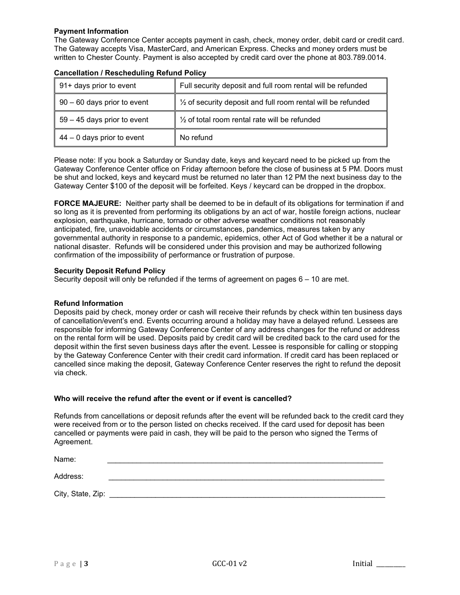## **Payment Information**

The Gateway Conference Center accepts payment in cash, check, money order, debit card or credit card. The Gateway accepts Visa, MasterCard, and American Express. Checks and money orders must be written to Chester County. Payment is also accepted by credit card over the phone at 803.789.0014.

| 91+ days prior to event       | Full security deposit and full room rental will be refunded             |
|-------------------------------|-------------------------------------------------------------------------|
| 90 - 60 days prior to event   | $\frac{1}{2}$ of security deposit and full room rental will be refunded |
| $59 - 45$ days prior to event | $\frac{1}{2}$ of total room rental rate will be refunded                |
| $44 - 0$ days prior to event  | No refund                                                               |

#### **Cancellation / Rescheduling Refund Policy**

Please note: If you book a Saturday or Sunday date, keys and keycard need to be picked up from the Gateway Conference Center office on Friday afternoon before the close of business at 5 PM. Doors must be shut and locked, keys and keycard must be returned no later than 12 PM the next business day to the Gateway Center \$100 of the deposit will be forfeited. Keys / keycard can be dropped in the dropbox.

**FORCE MAJEURE:** Neither party shall be deemed to be in default of its obligations for termination if and so long as it is prevented from performing its obligations by an act of war, hostile foreign actions, nuclear explosion, earthquake, hurricane, tornado or other adverse weather conditions not reasonably anticipated, fire, unavoidable accidents or circumstances, pandemics, measures taken by any governmental authority in response to a pandemic, epidemics, other Act of God whether it be a natural or national disaster. Refunds will be considered under this provision and may be authorized following confirmation of the impossibility of performance or frustration of purpose.

#### **Security Deposit Refund Policy**

Security deposit will only be refunded if the terms of agreement on pages 6 – 10 are met.

#### **Refund Information**

Deposits paid by check, money order or cash will receive their refunds by check within ten business days of cancellation/event's end. Events occurring around a holiday may have a delayed refund. Lessees are responsible for informing Gateway Conference Center of any address changes for the refund or address on the rental form will be used. Deposits paid by credit card will be credited back to the card used for the deposit within the first seven business days after the event. Lessee is responsible for calling or stopping by the Gateway Conference Center with their credit card information. If credit card has been replaced or cancelled since making the deposit, Gateway Conference Center reserves the right to refund the deposit via check.

#### **Who will receive the refund after the event or if event is cancelled?**

Refunds from cancellations or deposit refunds after the event will be refunded back to the credit card they were received from or to the person listed on checks received. If the card used for deposit has been cancelled or payments were paid in cash, they will be paid to the person who signed the Terms of Agreement.

| Name:             |  |
|-------------------|--|
| Address:          |  |
| City, State, Zip: |  |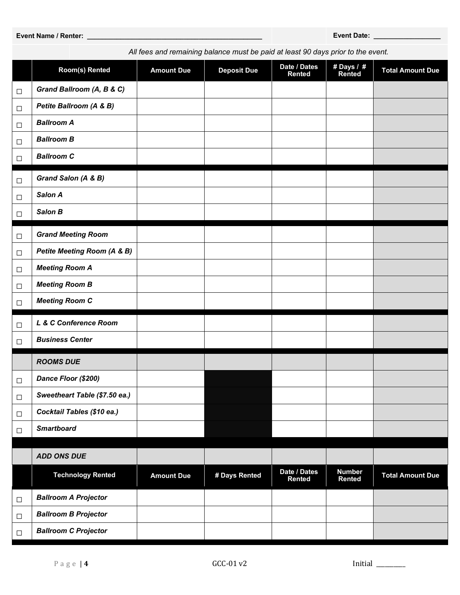| ⊔      | $\sqrt{2}$                             |                   |               |                               |                         |                         |
|--------|----------------------------------------|-------------------|---------------|-------------------------------|-------------------------|-------------------------|
| $\Box$ | Petite Ballroom (A & B)                |                   |               |                               |                         |                         |
| $\Box$ | <b>Ballroom A</b>                      |                   |               |                               |                         |                         |
| $\Box$ | <b>Ballroom B</b>                      |                   |               |                               |                         |                         |
| $\Box$ | <b>Ballroom C</b>                      |                   |               |                               |                         |                         |
| $\Box$ | Grand Salon (A & B)                    |                   |               |                               |                         |                         |
| $\Box$ | Salon A                                |                   |               |                               |                         |                         |
| $\Box$ | Salon B                                |                   |               |                               |                         |                         |
| $\Box$ | <b>Grand Meeting Room</b>              |                   |               |                               |                         |                         |
| $\Box$ | <b>Petite Meeting Room (A &amp; B)</b> |                   |               |                               |                         |                         |
| $\Box$ | <b>Meeting Room A</b>                  |                   |               |                               |                         |                         |
| $\Box$ | <b>Meeting Room B</b>                  |                   |               |                               |                         |                         |
| $\Box$ | <b>Meeting Room C</b>                  |                   |               |                               |                         |                         |
| $\Box$ | L & C Conference Room                  |                   |               |                               |                         |                         |
| $\Box$ | <b>Business Center</b>                 |                   |               |                               |                         |                         |
|        | <b>ROOMS DUE</b>                       |                   |               |                               |                         |                         |
| $\Box$ | Dance Floor (\$200)                    |                   |               |                               |                         |                         |
| $\Box$ | Sweetheart Table (\$7.50 ea.)          |                   |               |                               |                         |                         |
| $\Box$ | Cocktail Tables (\$10 ea.)             |                   |               |                               |                         |                         |
| $\Box$ | <b>Smartboard</b>                      |                   |               |                               |                         |                         |
|        | <b>ADD ONS DUE</b>                     |                   |               |                               |                         |                         |
|        | <b>Technology Rented</b>               | <b>Amount Due</b> | # Days Rented | Date / Dates<br><b>Rented</b> | <b>Number</b><br>Rented | <b>Total Amount Due</b> |
| $\Box$ | <b>Ballroom A Projector</b>            |                   |               |                               |                         |                         |
| $\Box$ | <b>Ballroom B Projector</b>            |                   |               |                               |                         |                         |
| $\Box$ | <b>Ballroom C Projector</b>            |                   |               |                               |                         |                         |
|        |                                        |                   |               |                               |                         |                         |

**# Days / #** 

**Rented Total Amount Due**

*All fees and remaining balance must be paid at least 90 days prior to the event.*

**Date / Dates<br>Rented** 

**Room(s)** Rented **Amount Due Deposit Due** 

 $\mathbf{I}$ 

#### **Event Name / Renter: \_\_\_\_\_\_\_\_\_\_\_\_\_\_\_\_\_\_\_\_\_\_\_\_\_\_\_\_\_\_\_\_\_\_\_\_\_\_\_\_\_\_\_\_\_\_\_ Event Date: \_\_\_\_\_\_\_\_\_\_\_\_\_\_\_\_\_\_**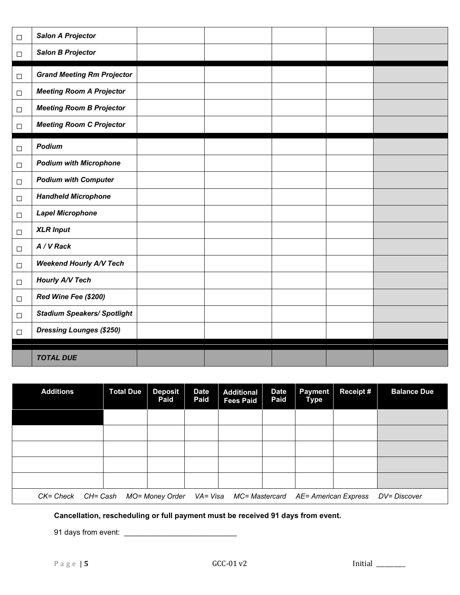| $\Box$ | <b>Salon A Projector</b>           |  |  |  |
|--------|------------------------------------|--|--|--|
| $\Box$ | <b>Salon B Projector</b>           |  |  |  |
| $\Box$ | <b>Grand Meeting Rm Projector</b>  |  |  |  |
| $\Box$ | <b>Meeting Room A Projector</b>    |  |  |  |
| $\Box$ | <b>Meeting Room B Projector</b>    |  |  |  |
| $\Box$ | <b>Meeting Room C Projector</b>    |  |  |  |
| $\Box$ | Podium                             |  |  |  |
| $\Box$ | <b>Podium with Microphone</b>      |  |  |  |
| $\Box$ | <b>Podium with Computer</b>        |  |  |  |
| $\Box$ | <b>Handheld Microphone</b>         |  |  |  |
| $\Box$ | <b>Lapel Microphone</b>            |  |  |  |
| $\Box$ | <b>XLR Input</b>                   |  |  |  |
| $\Box$ | A / V Rack                         |  |  |  |
| $\Box$ | <b>Weekend Hourly A/V Tech</b>     |  |  |  |
| $\Box$ | Hourly A/V Tech                    |  |  |  |
| $\Box$ | Red Wine Fee (\$200)               |  |  |  |
| $\Box$ | <b>Stadium Speakers/ Spotlight</b> |  |  |  |
| $\Box$ | <b>Dressing Lounges (\$250)</b>    |  |  |  |
|        | <b>TOTAL DUE</b>                   |  |  |  |

| <b>Additions</b>      | <b>Total Due</b> | <b>Deposit</b><br>Paid | <b>Date</b><br>Paid | <b>Additional</b><br><b>Fees Paid</b>                        | <b>Date</b><br>Paid | <b>Payment</b><br><b>Type</b> | Receipt # | <b>Balance Due</b> |
|-----------------------|------------------|------------------------|---------------------|--------------------------------------------------------------|---------------------|-------------------------------|-----------|--------------------|
|                       |                  |                        |                     |                                                              |                     |                               |           |                    |
|                       |                  |                        |                     |                                                              |                     |                               |           |                    |
|                       |                  |                        |                     |                                                              |                     |                               |           |                    |
|                       |                  |                        |                     |                                                              |                     |                               |           |                    |
|                       |                  |                        |                     |                                                              |                     |                               |           |                    |
| CK= Check<br>CH= Cash |                  |                        |                     | MO= Money Order VA= Visa MC= Mastercard AE= American Express |                     |                               |           | DV= Discover       |

**Cancellation, rescheduling or full payment must be received 91 days from event.**

91 days from event: \_\_\_\_\_\_\_\_\_\_\_\_\_\_\_\_\_\_\_\_\_\_\_\_\_\_\_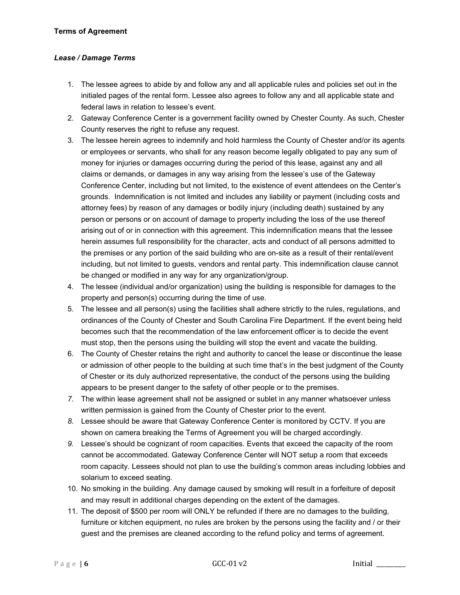## **Terms of Agreement**

## *Lease / Damage Terms*

- 1. The lessee agrees to abide by and follow any and all applicable rules and policies set out in the initialed pages of the rental form. Lessee also agrees to follow any and all applicable state and federal laws in relation to lessee's event.
- 2. Gateway Conference Center is a government facility owned by Chester County. As such, Chester County reserves the right to refuse any request.
- 3. The lessee herein agrees to indemnify and hold harmless the County of Chester and/or its agents or employees or servants, who shall for any reason become legally obligated to pay any sum of money for injuries or damages occurring during the period of this lease, against any and all claims or demands, or damages in any way arising from the lessee's use of the Gateway Conference Center, including but not limited, to the existence of event attendees on the Center's grounds. Indemnification is not limited and includes any liability or payment (including costs and attorney fees) by reason of any damages or bodily injury (including death) sustained by any person or persons or on account of damage to property including the loss of the use thereof arising out of or in connection with this agreement. This indemnification means that the lessee herein assumes full responsibility for the character, acts and conduct of all persons admitted to the premises or any portion of the said building who are on-site as a result of their rental/event including, but not limited to guests, vendors and rental party. This indemnification clause cannot be changed or modified in any way for any organization/group.
- 4. The lessee (individual and/or organization) using the building is responsible for damages to the property and person(s) occurring during the time of use.
- 5. The lessee and all person(s) using the facilities shall adhere strictly to the rules, regulations, and ordinances of the County of Chester and South Carolina Fire Department. If the event being held becomes such that the recommendation of the law enforcement officer is to decide the event must stop, then the persons using the building will stop the event and vacate the building.
- 6. The County of Chester retains the right and authority to cancel the lease or discontinue the lease or admission of other people to the building at such time that's in the best judgment of the County of Chester or its duly authorized representative, the conduct of the persons using the building appears to be present danger to the safety of other people or to the premises.
- *7.* The within lease agreement shall not be assigned or sublet in any manner whatsoever unless written permission is gained from the County of Chester prior to the event.
- *8.* Lessee should be aware that Gateway Conference Center is monitored by CCTV. If you are shown on camera breaking the Terms of Agreement you will be charged accordingly.
- *9.* Lessee's should be cognizant of room capacities. Events that exceed the capacity of the room cannot be accommodated. Gateway Conference Center will NOT setup a room that exceeds room capacity. Lessees should not plan to use the building's common areas including lobbies and solarium to exceed seating.
- 10. No smoking in the building. Any damage caused by smoking will result in a forfeiture of deposit and may result in additional charges depending on the extent of the damages.
- 11. The deposit of \$500 per room will ONLY be refunded if there are no damages to the building, furniture or kitchen equipment, no rules are broken by the persons using the facility and / or their guest and the premises are cleaned according to the refund policy and terms of agreement.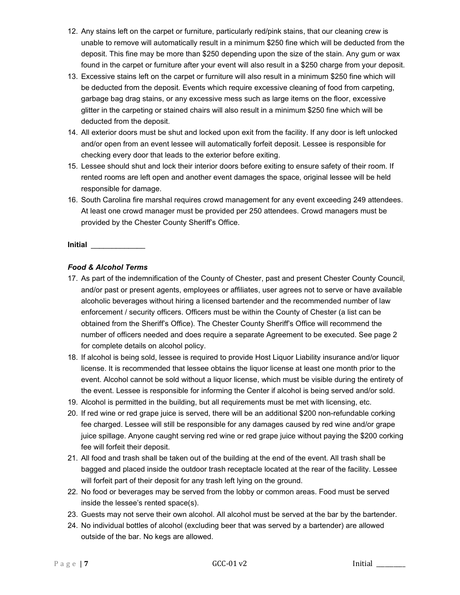- 12. Any stains left on the carpet or furniture, particularly red/pink stains, that our cleaning crew is unable to remove will automatically result in a minimum \$250 fine which will be deducted from the deposit. This fine may be more than \$250 depending upon the size of the stain. Any gum or wax found in the carpet or furniture after your event will also result in a \$250 charge from your deposit.
- 13. Excessive stains left on the carpet or furniture will also result in a minimum \$250 fine which will be deducted from the deposit. Events which require excessive cleaning of food from carpeting, garbage bag drag stains, or any excessive mess such as large items on the floor, excessive glitter in the carpeting or stained chairs will also result in a minimum \$250 fine which will be deducted from the deposit.
- 14. All exterior doors must be shut and locked upon exit from the facility. If any door is left unlocked and/or open from an event lessee will automatically forfeit deposit. Lessee is responsible for checking every door that leads to the exterior before exiting.
- 15. Lessee should shut and lock their interior doors before exiting to ensure safety of their room. If rented rooms are left open and another event damages the space, original lessee will be held responsible for damage.
- 16. South Carolina fire marshal requires crowd management for any event exceeding 249 attendees. At least one crowd manager must be provided per 250 attendees. Crowd managers must be provided by the Chester County Sheriff's Office.

# *Food & Alcohol Terms*

- 17. As part of the indemnification of the County of Chester, past and present Chester County Council, and/or past or present agents, employees or affiliates, user agrees not to serve or have available alcoholic beverages without hiring a licensed bartender and the recommended number of law enforcement / security officers. Officers must be within the County of Chester (a list can be obtained from the Sheriff's Office). The Chester County Sheriff's Office will recommend the number of officers needed and does require a separate Agreement to be executed. See page 2 for complete details on alcohol policy.
- 18. If alcohol is being sold, lessee is required to provide Host Liquor Liability insurance and/or liquor license. It is recommended that lessee obtains the liquor license at least one month prior to the event. Alcohol cannot be sold without a liquor license, which must be visible during the entirety of the event. Lessee is responsible for informing the Center if alcohol is being served and/or sold.
- 19. Alcohol is permitted in the building, but all requirements must be met with licensing, etc.
- 20. If red wine or red grape juice is served, there will be an additional \$200 non-refundable corking fee charged. Lessee will still be responsible for any damages caused by red wine and/or grape juice spillage. Anyone caught serving red wine or red grape juice without paying the \$200 corking fee will forfeit their deposit.
- 21. All food and trash shall be taken out of the building at the end of the event. All trash shall be bagged and placed inside the outdoor trash receptacle located at the rear of the facility. Lessee will forfeit part of their deposit for any trash left lying on the ground.
- 22. No food or beverages may be served from the lobby or common areas. Food must be served inside the lessee's rented space(s).
- 23. Guests may not serve their own alcohol. All alcohol must be served at the bar by the bartender.
- 24. No individual bottles of alcohol (excluding beer that was served by a bartender) are allowed outside of the bar. No kegs are allowed.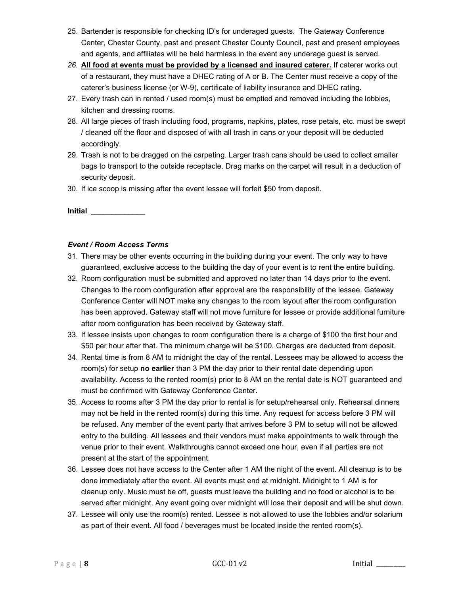- 25. Bartender is responsible for checking ID's for underaged guests. The Gateway Conference Center, Chester County, past and present Chester County Council, past and present employees and agents, and affiliates will be held harmless in the event any underage guest is served.
- *26.* **All food at events must be provided by a licensed and insured caterer.** If caterer works out of a restaurant, they must have a DHEC rating of A or B. The Center must receive a copy of the caterer's business license (or W-9), certificate of liability insurance and DHEC rating.
- 27. Every trash can in rented / used room(s) must be emptied and removed including the lobbies, kitchen and dressing rooms.
- 28. All large pieces of trash including food, programs, napkins, plates, rose petals, etc. must be swept / cleaned off the floor and disposed of with all trash in cans or your deposit will be deducted accordingly.
- 29. Trash is not to be dragged on the carpeting. Larger trash cans should be used to collect smaller bags to transport to the outside receptacle. Drag marks on the carpet will result in a deduction of security deposit.
- 30. If ice scoop is missing after the event lessee will forfeit \$50 from deposit.

# *Event / Room Access Terms*

- 31. There may be other events occurring in the building during your event. The only way to have guaranteed, exclusive access to the building the day of your event is to rent the entire building.
- 32. Room configuration must be submitted and approved no later than 14 days prior to the event. Changes to the room configuration after approval are the responsibility of the lessee. Gateway Conference Center will NOT make any changes to the room layout after the room configuration has been approved. Gateway staff will not move furniture for lessee or provide additional furniture after room configuration has been received by Gateway staff.
- 33. If lessee insists upon changes to room configuration there is a charge of \$100 the first hour and \$50 per hour after that. The minimum charge will be \$100. Charges are deducted from deposit.
- 34. Rental time is from 8 AM to midnight the day of the rental. Lessees may be allowed to access the room(s) for setup **no earlier** than 3 PM the day prior to their rental date depending upon availability. Access to the rented room(s) prior to 8 AM on the rental date is NOT guaranteed and must be confirmed with Gateway Conference Center.
- 35. Access to rooms after 3 PM the day prior to rental is for setup/rehearsal only. Rehearsal dinners may not be held in the rented room(s) during this time. Any request for access before 3 PM will be refused. Any member of the event party that arrives before 3 PM to setup will not be allowed entry to the building. All lessees and their vendors must make appointments to walk through the venue prior to their event. Walkthroughs cannot exceed one hour, even if all parties are not present at the start of the appointment.
- 36. Lessee does not have access to the Center after 1 AM the night of the event. All cleanup is to be done immediately after the event. All events must end at midnight. Midnight to 1 AM is for cleanup only. Music must be off, guests must leave the building and no food or alcohol is to be served after midnight. Any event going over midnight will lose their deposit and will be shut down.
- 37. Lessee will only use the room(s) rented. Lessee is not allowed to use the lobbies and/or solarium as part of their event. All food / beverages must be located inside the rented room(s).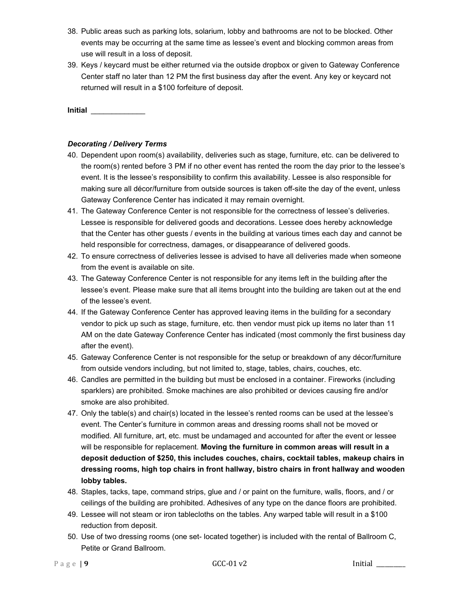- 38. Public areas such as parking lots, solarium, lobby and bathrooms are not to be blocked. Other events may be occurring at the same time as lessee's event and blocking common areas from use will result in a loss of deposit.
- 39. Keys / keycard must be either returned via the outside dropbox or given to Gateway Conference Center staff no later than 12 PM the first business day after the event. Any key or keycard not returned will result in a \$100 forfeiture of deposit.

# *Decorating / Delivery Terms*

- 40. Dependent upon room(s) availability, deliveries such as stage, furniture, etc. can be delivered to the room(s) rented before 3 PM if no other event has rented the room the day prior to the lessee's event. It is the lessee's responsibility to confirm this availability. Lessee is also responsible for making sure all décor/furniture from outside sources is taken off-site the day of the event, unless Gateway Conference Center has indicated it may remain overnight.
- 41. The Gateway Conference Center is not responsible for the correctness of lessee's deliveries. Lessee is responsible for delivered goods and decorations. Lessee does hereby acknowledge that the Center has other guests / events in the building at various times each day and cannot be held responsible for correctness, damages, or disappearance of delivered goods.
- 42. To ensure correctness of deliveries lessee is advised to have all deliveries made when someone from the event is available on site.
- 43. The Gateway Conference Center is not responsible for any items left in the building after the lessee's event. Please make sure that all items brought into the building are taken out at the end of the lessee's event.
- 44. If the Gateway Conference Center has approved leaving items in the building for a secondary vendor to pick up such as stage, furniture, etc. then vendor must pick up items no later than 11 AM on the date Gateway Conference Center has indicated (most commonly the first business day after the event).
- 45. Gateway Conference Center is not responsible for the setup or breakdown of any décor/furniture from outside vendors including, but not limited to, stage, tables, chairs, couches, etc.
- 46. Candles are permitted in the building but must be enclosed in a container. Fireworks (including sparklers) are prohibited. Smoke machines are also prohibited or devices causing fire and/or smoke are also prohibited.
- 47. Only the table(s) and chair(s) located in the lessee's rented rooms can be used at the lessee's event. The Center's furniture in common areas and dressing rooms shall not be moved or modified. All furniture, art, etc. must be undamaged and accounted for after the event or lessee will be responsible for replacement. **Moving the furniture in common areas will result in a deposit deduction of \$250, this includes couches, chairs, cocktail tables, makeup chairs in dressing rooms, high top chairs in front hallway, bistro chairs in front hallway and wooden lobby tables.**
- 48. Staples, tacks, tape, command strips, glue and / or paint on the furniture, walls, floors, and / or ceilings of the building are prohibited. Adhesives of any type on the dance floors are prohibited.
- 49. Lessee will not steam or iron tablecloths on the tables. Any warped table will result in a \$100 reduction from deposit.
- 50. Use of two dressing rooms (one set- located together) is included with the rental of Ballroom C, Petite or Grand Ballroom.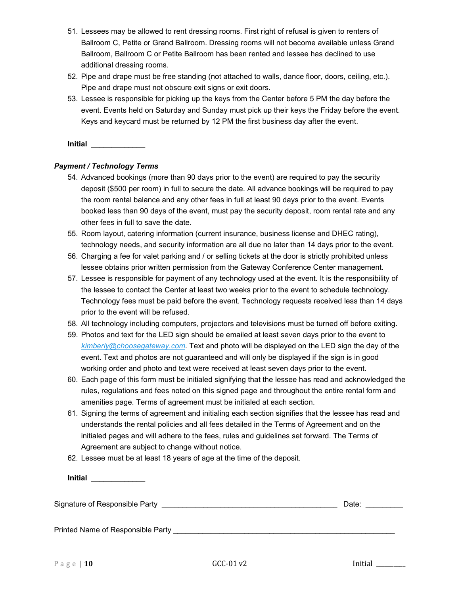- 51. Lessees may be allowed to rent dressing rooms. First right of refusal is given to renters of Ballroom C, Petite or Grand Ballroom. Dressing rooms will not become available unless Grand Ballroom, Ballroom C or Petite Ballroom has been rented and lessee has declined to use additional dressing rooms.
- 52. Pipe and drape must be free standing (not attached to walls, dance floor, doors, ceiling, etc.). Pipe and drape must not obscure exit signs or exit doors.
- 53. Lessee is responsible for picking up the keys from the Center before 5 PM the day before the event. Events held on Saturday and Sunday must pick up their keys the Friday before the event. Keys and keycard must be returned by 12 PM the first business day after the event.

# *Payment / Technology Terms*

- 54. Advanced bookings (more than 90 days prior to the event) are required to pay the security deposit (\$500 per room) in full to secure the date. All advance bookings will be required to pay the room rental balance and any other fees in full at least 90 days prior to the event. Events booked less than 90 days of the event, must pay the security deposit, room rental rate and any other fees in full to save the date.
- 55. Room layout, catering information (current insurance, business license and DHEC rating), technology needs, and security information are all due no later than 14 days prior to the event.
- 56. Charging a fee for valet parking and / or selling tickets at the door is strictly prohibited unless lessee obtains prior written permission from the Gateway Conference Center management.
- 57. Lessee is responsible for payment of any technology used at the event. It is the responsibility of the lessee to contact the Center at least two weeks prior to the event to schedule technology. Technology fees must be paid before the event. Technology requests received less than 14 days prior to the event will be refused.
- 58. All technology including computers, projectors and televisions must be turned off before exiting.
- 59. Photos and text for the LED sign should be emailed at least seven days prior to the event to *[kimberly@choosegateway.com](mailto:kimberly@choosegateway.com)*. Text and photo will be displayed on the LED sign the day of the event. Text and photos are not guaranteed and will only be displayed if the sign is in good working order and photo and text were received at least seven days prior to the event.
- 60. Each page of this form must be initialed signifying that the lessee has read and acknowledged the rules, regulations and fees noted on this signed page and throughout the entire rental form and amenities page. Terms of agreement must be initialed at each section.
- 61. Signing the terms of agreement and initialing each section signifies that the lessee has read and understands the rental policies and all fees detailed in the Terms of Agreement and on the initialed pages and will adhere to the fees, rules and guidelines set forward. The Terms of Agreement are subject to change without notice.
- 62. Lessee must be at least 18 years of age at the time of the deposit.

**Initial** *\_\_\_\_\_\_\_\_\_\_\_\_\_*

| Signature of Responsible Party    | Date: |  |
|-----------------------------------|-------|--|
|                                   |       |  |
|                                   |       |  |
| Printed Name of Responsible Party |       |  |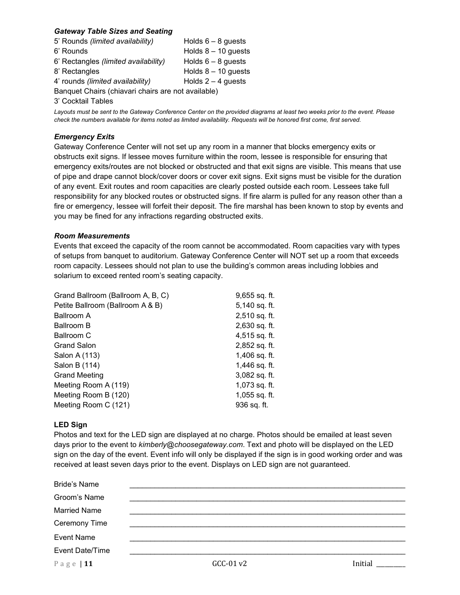## *Gateway Table Sizes and Seating*

| 5' Rounds (limited availability)                   | Holds $6 - 8$ guests  |  |  |  |  |
|----------------------------------------------------|-----------------------|--|--|--|--|
| 6' Rounds                                          | Holds $8 - 10$ guests |  |  |  |  |
| 6' Rectangles (limited availability)               | Holds $6-8$ guests    |  |  |  |  |
| 8' Rectangles                                      | Holds $8 - 10$ guests |  |  |  |  |
| 4' rounds <i>(limited availability)</i>            | Holds $2 - 4$ guests  |  |  |  |  |
| Banquet Chairs (chiavari chairs are not available) |                       |  |  |  |  |

3' Cocktail Tables

*Layouts must be sent to the Gateway Conference Center on the provided diagrams at least two weeks prior to the event. Please check the numbers available for items noted as limited availability. Requests will be honored first come, first served.*

#### *Emergency Exits*

Gateway Conference Center will not set up any room in a manner that blocks emergency exits or obstructs exit signs. If lessee moves furniture within the room, lessee is responsible for ensuring that emergency exits/routes are not blocked or obstructed and that exit signs are visible. This means that use of pipe and drape cannot block/cover doors or cover exit signs. Exit signs must be visible for the duration of any event. Exit routes and room capacities are clearly posted outside each room. Lessees take full responsibility for any blocked routes or obstructed signs. If fire alarm is pulled for any reason other than a fire or emergency, lessee will forfeit their deposit. The fire marshal has been known to stop by events and you may be fined for any infractions regarding obstructed exits.

#### *Room Measurements*

Events that exceed the capacity of the room cannot be accommodated. Room capacities vary with types of setups from banquet to auditorium. Gateway Conference Center will NOT set up a room that exceeds room capacity. Lessees should not plan to use the building's common areas including lobbies and solarium to exceed rented room's seating capacity.

| Grand Ballroom (Ballroom A, B, C) | $9,655$ sq. ft. |
|-----------------------------------|-----------------|
| Petite Ballroom (Ballroom A & B)  | 5,140 sq. ft.   |
| Ballroom A                        | $2,510$ sq. ft. |
| Ballroom B                        | 2,630 sq. ft.   |
| Ballroom C                        | 4,515 sq. ft.   |
| <b>Grand Salon</b>                | 2,852 sq. ft.   |
| Salon A (113)                     | 1,406 sq. ft.   |
| Salon B (114)                     | 1,446 sq. ft.   |
| <b>Grand Meeting</b>              | 3,082 sq. ft.   |
| Meeting Room A (119)              | $1,073$ sq. ft. |
| Meeting Room B (120)              | $1,055$ sq. ft. |
| Meeting Room C (121)              | 936 sq. ft.     |

#### **LED Sign**

Photos and text for the LED sign are displayed at no charge. Photos should be emailed at least seven days prior to the event to *kimberly@choosegateway.com*. Text and photo will be displayed on the LED sign on the day of the event. Event info will only be displayed if the sign is in good working order and was received at least seven days prior to the event. Displays on LED sign are not guaranteed.

| <b>Bride's Name</b> |           |         |
|---------------------|-----------|---------|
| Groom's Name        |           |         |
| <b>Married Name</b> |           |         |
| Ceremony Time       |           |         |
| <b>Event Name</b>   |           |         |
| Event Date/Time     |           |         |
| Page   $11$         | GCC-01 v2 | Initial |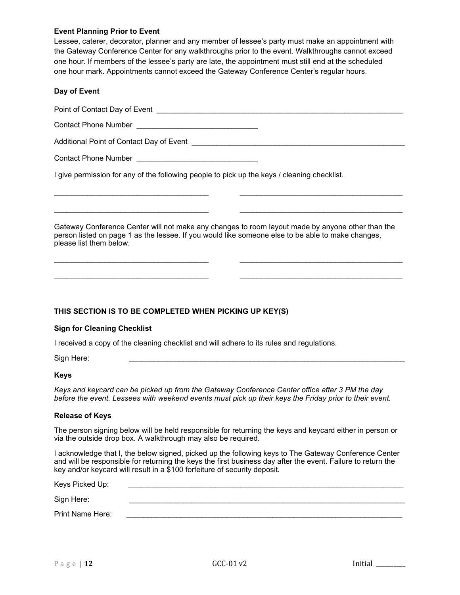## **Event Planning Prior to Event**

Lessee, caterer, decorator, planner and any member of lessee's party must make an appointment with the Gateway Conference Center for any walkthroughs prior to the event. Walkthroughs cannot exceed one hour. If members of the lessee's party are late, the appointment must still end at the scheduled one hour mark. Appointments cannot exceed the Gateway Conference Center's regular hours.

## **Day of Event**

Point of Contact Day of Event \_\_\_\_\_\_\_\_\_\_\_\_\_\_\_\_\_\_\_\_\_\_\_\_\_\_\_\_\_\_\_\_\_\_\_\_\_\_\_\_\_\_\_\_\_\_\_\_\_\_\_\_\_\_\_\_\_\_\_

Contact Phone Number **Example 20** 

Additional Point of Contact Day of Event \_\_\_\_\_\_\_\_\_\_\_\_\_\_\_\_\_\_\_\_\_\_\_\_\_\_\_\_\_\_\_\_\_\_\_\_\_\_\_\_\_\_\_\_\_\_\_\_\_\_\_

Contact Phone Number \_\_\_\_\_\_\_\_\_\_\_\_\_\_\_\_\_\_\_\_\_\_\_\_\_\_\_\_\_

I give permission for any of the following people to pick up the keys / cleaning checklist.

Gateway Conference Center will not make any changes to room layout made by anyone other than the person listed on page 1 as the lessee. If you would like someone else to be able to make changes, please list them below.

\_\_\_\_\_\_\_\_\_\_\_\_\_\_\_\_\_\_\_\_\_\_\_\_\_\_\_\_\_\_\_\_\_\_\_\_\_ \_\_\_\_\_\_\_\_\_\_\_\_\_\_\_\_\_\_\_\_\_\_\_\_\_\_\_\_\_\_\_\_\_\_\_\_\_\_\_

\_\_\_\_\_\_\_\_\_\_\_\_\_\_\_\_\_\_\_\_\_\_\_\_\_\_\_\_\_\_\_\_\_\_\_\_\_ \_\_\_\_\_\_\_\_\_\_\_\_\_\_\_\_\_\_\_\_\_\_\_\_\_\_\_\_\_\_\_\_\_\_\_\_\_\_\_

\_\_\_\_\_\_\_\_\_\_\_\_\_\_\_\_\_\_\_\_\_\_\_\_\_\_\_\_\_\_\_\_\_\_\_\_\_ \_\_\_\_\_\_\_\_\_\_\_\_\_\_\_\_\_\_\_\_\_\_\_\_\_\_\_\_\_\_\_\_\_\_\_\_\_\_\_

\_\_\_\_\_\_\_\_\_\_\_\_\_\_\_\_\_\_\_\_\_\_\_\_\_\_\_\_\_\_\_\_\_\_\_\_\_ \_\_\_\_\_\_\_\_\_\_\_\_\_\_\_\_\_\_\_\_\_\_\_\_\_\_\_\_\_\_\_\_\_\_\_\_\_\_\_

## **THIS SECTION IS TO BE COMPLETED WHEN PICKING UP KEY(S)**

#### **Sign for Cleaning Checklist**

I received a copy of the cleaning checklist and will adhere to its rules and regulations.

Sign Here: \_\_\_\_\_\_\_\_\_\_\_\_\_\_\_\_\_\_\_\_\_\_\_\_\_\_\_\_\_\_\_\_\_\_\_\_\_\_\_\_\_\_\_\_\_\_\_\_\_\_\_\_\_\_\_\_\_\_\_\_\_\_\_\_\_\_

#### **Keys**

*Keys and keycard can be picked up from the Gateway Conference Center office after 3 PM the day before the event. Lessees with weekend events must pick up their keys the Friday prior to their event.*

#### **Release of Keys**

The person signing below will be held responsible for returning the keys and keycard either in person or via the outside drop box. A walkthrough may also be required.

I acknowledge that I, the below signed, picked up the following keys to The Gateway Conference Center and will be responsible for returning the keys the first business day after the event. Failure to return the key and/or keycard will result in a \$100 forfeiture of security deposit.

| Keys Picked Up:  |  |
|------------------|--|
| Sign Here:       |  |
| Print Name Here: |  |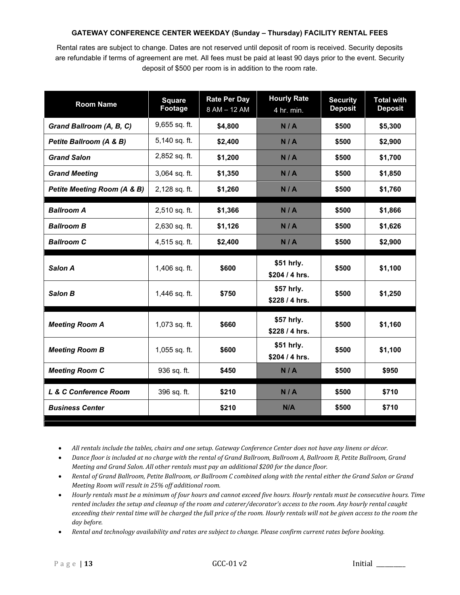## **GATEWAY CONFERENCE CENTER WEEKDAY (Sunday – Thursday) FACILITY RENTAL FEES**

Rental rates are subject to change. Dates are not reserved until deposit of room is received. Security deposits are refundable if terms of agreement are met. All fees must be paid at least 90 days prior to the event. Security deposit of \$500 per room is in addition to the room rate.

| <b>Room Name</b>            | <b>Square</b><br><b>Footage</b> | <b>Rate Per Day</b><br>8 AM - 12 AM   | <b>Hourly Rate</b><br>4 hr. min. | <b>Security</b><br><b>Deposit</b> | <b>Total with</b><br><b>Deposit</b> |
|-----------------------------|---------------------------------|---------------------------------------|----------------------------------|-----------------------------------|-------------------------------------|
| Grand Ballroom (A, B, C)    | 9,655 sq. ft.                   | \$4,800                               | N/A                              | \$500                             | \$5,300                             |
| Petite Ballroom (A & B)     | 5,140 sq. ft.                   | \$2,400                               | N/A                              | \$500                             | \$2,900                             |
| <b>Grand Salon</b>          | 2,852 sq. ft.                   | \$1,200                               | N/A                              | \$500                             | \$1,700                             |
| <b>Grand Meeting</b>        | 3,064 sq. ft.                   | \$1,350                               | N/A                              | \$500                             | \$1,850                             |
| Petite Meeting Room (A & B) | 2,128 sq. ft.                   | \$1,260                               | N/A                              | \$500                             | \$1,760                             |
| <b>Ballroom A</b>           | 2,510 sq. ft.                   | \$1,366                               | N/A                              | \$500                             | \$1,866                             |
| <b>Ballroom B</b>           | 2,630 sq. ft.                   | \$1,126                               | N/A                              | \$500                             | \$1,626                             |
| <b>Ballroom C</b>           | 4,515 sq. ft.                   | \$2,400                               | N/A                              |                                   | \$2,900                             |
| Salon A                     | 1,406 sq. ft.                   | \$51 hrly.<br>\$600<br>\$204 / 4 hrs. |                                  | \$500                             | \$1,100                             |
| <b>Salon B</b>              | 1,446 sq. ft.                   | \$750                                 | \$57 hrly.<br>\$228 / 4 hrs.     | \$500                             | \$1,250                             |
| <b>Meeting Room A</b>       | 1,073 sq. ft.                   | \$660                                 | \$57 hrly.<br>\$228 / 4 hrs.     | \$500                             | \$1,160                             |
| <b>Meeting Room B</b>       | 1,055 sq. ft.                   | \$600                                 | \$51 hrly.<br>\$204 / 4 hrs.     | \$500                             | \$1,100                             |
| <b>Meeting Room C</b>       | 936 sq. ft.                     | \$450                                 | N/A                              | \$500                             | \$950                               |
| L & C Conference Room       | 396 sq. ft.                     | \$210                                 | N/A                              | \$500                             | \$710                               |
| <b>Business Center</b>      |                                 | \$210                                 | N/A                              | \$500                             | \$710                               |

• *All rentals include the tables, chairs and one setup. Gateway Conference Center does not have any linens or décor.*

- *Dance floor is included at no charge with the rental of Grand Ballroom, Ballroom A, Ballroom B, Petite Ballroom, Grand Meeting and Grand Salon. All other rentals must pay an additional \$200 for the dance floor.*
- *Rental of Grand Ballroom, Petite Ballroom, or Ballroom C combined along with the rental either the Grand Salon or Grand Meeting Room will result in 25% off additional room.*
- *Hourly rentals must be a minimum of four hours and cannot exceed five hours. Hourly rentals must be consecutive hours. Time rented includes the setup and cleanup of the room and caterer/decorator's access to the room. Any hourly rental caught exceeding their rental time will be charged the full price of the room. Hourly rentals will not be given access to the room the day before.*
- *Rental and technology availability and rates are subject to change. Please confirm current rates before booking.*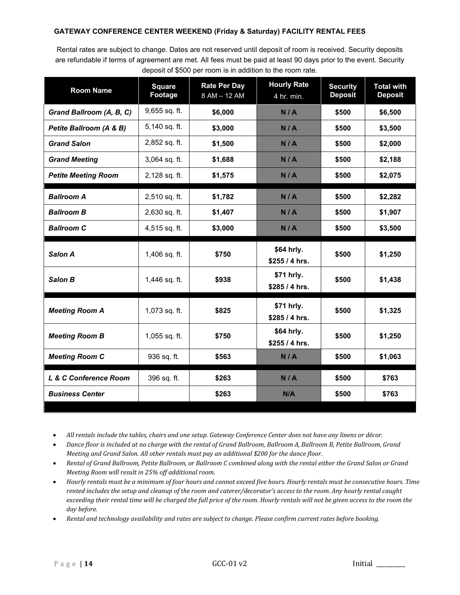## **GATEWAY CONFERENCE CENTER WEEKEND (Friday & Saturday) FACILITY RENTAL FEES**

Rental rates are subject to change. Dates are not reserved until deposit of room is received. Security deposits are refundable if terms of agreement are met. All fees must be paid at least 90 days prior to the event. Security deposit of \$500 per room is in addition to the room rate.

| <b>Room Name</b>           | <b>Square</b><br>Footage | <b>Rate Per Day</b><br>8 AM - 12 AM | <b>Hourly Rate</b><br>4 hr. min. | <b>Security</b><br><b>Deposit</b> | <b>Total with</b><br><b>Deposit</b> |
|----------------------------|--------------------------|-------------------------------------|----------------------------------|-----------------------------------|-------------------------------------|
| Grand Ballroom (A, B, C)   | 9,655 sq. ft.            | \$6,000                             | N/A                              | \$500                             | \$6,500                             |
| Petite Ballroom (A & B)    | 5,140 sq. ft.            | \$3,000                             | N/A                              | \$500                             | \$3,500                             |
| <b>Grand Salon</b>         | 2,852 sq. ft.            | \$1,500                             | N/A                              | \$500                             | \$2,000                             |
| <b>Grand Meeting</b>       | 3,064 sq. ft.            | \$1,688                             | N/A                              | \$500                             | \$2,188                             |
| <b>Petite Meeting Room</b> | 2,128 sq. ft.            | \$1,575                             | N/A                              | \$500                             | \$2,075                             |
| <b>Ballroom A</b>          | 2,510 sq. ft.            | \$1,782                             | N/A                              | \$500                             | \$2,282                             |
| <b>Ballroom B</b>          | $2,630$ sq. ft.          | \$1,407                             | N/A                              | \$500                             | \$1,907                             |
| <b>Ballroom C</b>          | 4,515 sq. ft.            | \$3,000                             | N/A                              | \$500                             | \$3,500                             |
| Salon A                    | 1,406 sq. ft.            | \$750                               | \$64 hrly.<br>\$255 / 4 hrs.     | \$500                             | \$1,250                             |
| Salon B                    | 1,446 sq. ft.            | \$938                               | \$71 hrly.<br>\$285 / 4 hrs.     | \$500                             | \$1,438                             |
| <b>Meeting Room A</b>      | 1,073 sq. ft.            | \$825                               | \$71 hrly.<br>\$285 / 4 hrs.     | \$500                             | \$1,325                             |
| <b>Meeting Room B</b>      | $1,055$ sq. ft.          | \$750                               | \$64 hrly.<br>\$255 / 4 hrs.     |                                   | \$1,250                             |
| <b>Meeting Room C</b>      | 936 sq. ft.              | \$563                               | N/A                              | \$500                             | \$1,063                             |
| L & C Conference Room      | 396 sq. ft.              | \$263                               | N/A                              | \$500                             | \$763                               |
| <b>Business Center</b>     |                          | \$263                               | N/A                              | \$500                             | \$763                               |

• *All rentals include the tables, chairs and one setup. Gateway Conference Center does not have any linens or décor.*

- *Dance floor is included at no charge with the rental of Grand Ballroom, Ballroom A, Ballroom B, Petite Ballroom, Grand Meeting and Grand Salon. All other rentals must pay an additional \$200 for the dance floor.*
- *Rental of Grand Ballroom, Petite Ballroom, or Ballroom C combined along with the rental either the Grand Salon or Grand Meeting Room will result in 25% off additional room.*
- *Hourly rentals must be a minimum of four hours and cannot exceed five hours. Hourly rentals must be consecutive hours. Time rented includes the setup and cleanup of the room and caterer/decorator's access to the room. Any hourly rental caught exceeding their rental time will be charged the full price of the room. Hourly rentals will not be given access to the room the day before.*
- *Rental and technology availability and rates are subject to change. Please confirm current rates before booking.*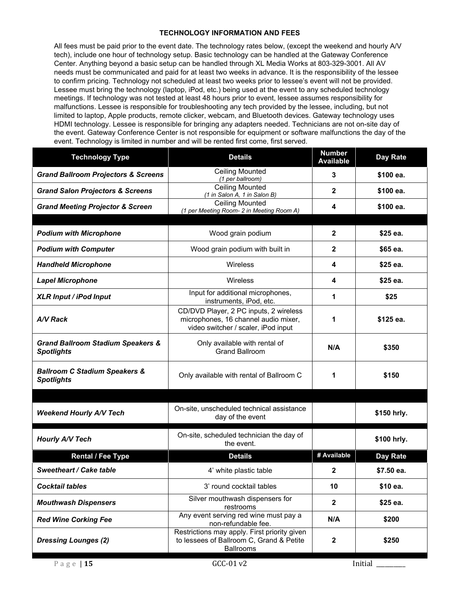## **TECHNOLOGY INFORMATION AND FEES**

All fees must be paid prior to the event date. The technology rates below, (except the weekend and hourly A/V tech), include one hour of technology setup. Basic technology can be handled at the Gateway Conference Center. Anything beyond a basic setup can be handled through XL Media Works at 803-329-3001. All AV needs must be communicated and paid for at least two weeks in advance. It is the responsibility of the lessee to confirm pricing. Technology not scheduled at least two weeks prior to lessee's event will not be provided. Lessee must bring the technology (laptop, iPod, etc.) being used at the event to any scheduled technology meetings. If technology was not tested at least 48 hours prior to event, lessee assumes responsibility for malfunctions. Lessee is responsible for troubleshooting any tech provided by the lessee, including, but not limited to laptop, Apple products, remote clicker, webcam, and Bluetooth devices. Gateway technology uses HDMI technology. Lessee is responsible for bringing any adapters needed. Technicians are not on-site day of the event. Gateway Conference Center is not responsible for equipment or software malfunctions the day of the event. Technology is limited in number and will be rented first come, first served.

| <b>Technology Type</b>                                            | <b>Details</b>                                                                                                        | <b>Number</b><br><b>Available</b> | <b>Day Rate</b> |  |
|-------------------------------------------------------------------|-----------------------------------------------------------------------------------------------------------------------|-----------------------------------|-----------------|--|
| <b>Grand Ballroom Projectors &amp; Screens</b>                    | <b>Ceiling Mounted</b><br>(1 per ballroom)                                                                            | 3                                 | \$100 ea.       |  |
| <b>Grand Salon Projectors &amp; Screens</b>                       | <b>Ceiling Mounted</b><br>(1 in Salon A, 1 in Salon B)                                                                | $\mathbf{2}$                      | \$100 ea.       |  |
| <b>Grand Meeting Projector &amp; Screen</b>                       | <b>Ceiling Mounted</b><br>(1 per Meeting Room- 2 in Meeting Room A)                                                   | 4                                 | \$100 ea.       |  |
| <b>Podium with Microphone</b>                                     | Wood grain podium                                                                                                     | $\mathbf{2}$                      | \$25 ea.        |  |
| <b>Podium with Computer</b>                                       | Wood grain podium with built in                                                                                       | $\mathbf{2}$                      | \$65 ea.        |  |
|                                                                   |                                                                                                                       |                                   |                 |  |
| <b>Handheld Microphone</b>                                        | Wireless                                                                                                              | 4                                 | \$25 ea.        |  |
| <b>Lapel Microphone</b>                                           | <b>Wireless</b>                                                                                                       | 4                                 | \$25 ea.        |  |
| <b>XLR Input / iPod Input</b>                                     | Input for additional microphones,<br>instruments, iPod, etc.                                                          | 1                                 | \$25            |  |
| A/V Rack                                                          | CD/DVD Player, 2 PC inputs, 2 wireless<br>microphones, 16 channel audio mixer,<br>video switcher / scaler, iPod input | 1                                 | \$125 ea.       |  |
| <b>Grand Ballroom Stadium Speakers &amp;</b><br><b>Spotlights</b> | Only available with rental of<br>N/A<br><b>Grand Ballroom</b>                                                         |                                   | \$350           |  |
| <b>Ballroom C Stadium Speakers &amp;</b><br><b>Spotlights</b>     | Only available with rental of Ballroom C                                                                              | 1                                 | \$150           |  |
|                                                                   |                                                                                                                       |                                   |                 |  |
| <b>Weekend Hourly A/V Tech</b>                                    | On-site, unscheduled technical assistance<br>day of the event                                                         |                                   | \$150 hrly.     |  |
| <b>Hourly A/V Tech</b>                                            | On-site, scheduled technician the day of<br>the event.                                                                |                                   | \$100 hrly.     |  |
| <b>Rental / Fee Type</b>                                          | <b>Details</b>                                                                                                        | # Available                       | <b>Day Rate</b> |  |
| <b>Sweetheart / Cake table</b>                                    | 4' white plastic table                                                                                                | $\mathbf{2}$                      | \$7.50 ea.      |  |
| <b>Cocktail tables</b>                                            | 3' round cocktail tables                                                                                              | 10                                | \$10 ea.        |  |
| <b>Mouthwash Dispensers</b>                                       | Silver mouthwash dispensers for<br>restrooms                                                                          | $\overline{\mathbf{2}}$           | \$25 ea.        |  |
| <b>Red Wine Corking Fee</b>                                       | Any event serving red wine must pay a<br>non-refundable fee.                                                          | N/A                               | \$200           |  |
| <b>Dressing Lounges (2)</b>                                       | Restrictions may apply. First priority given<br>to lessees of Ballroom C, Grand & Petite<br><b>Ballrooms</b>          | $\mathbf{2}$                      | \$250           |  |
| Page $ 15$                                                        | GCC-01 v2                                                                                                             |                                   | Initial         |  |